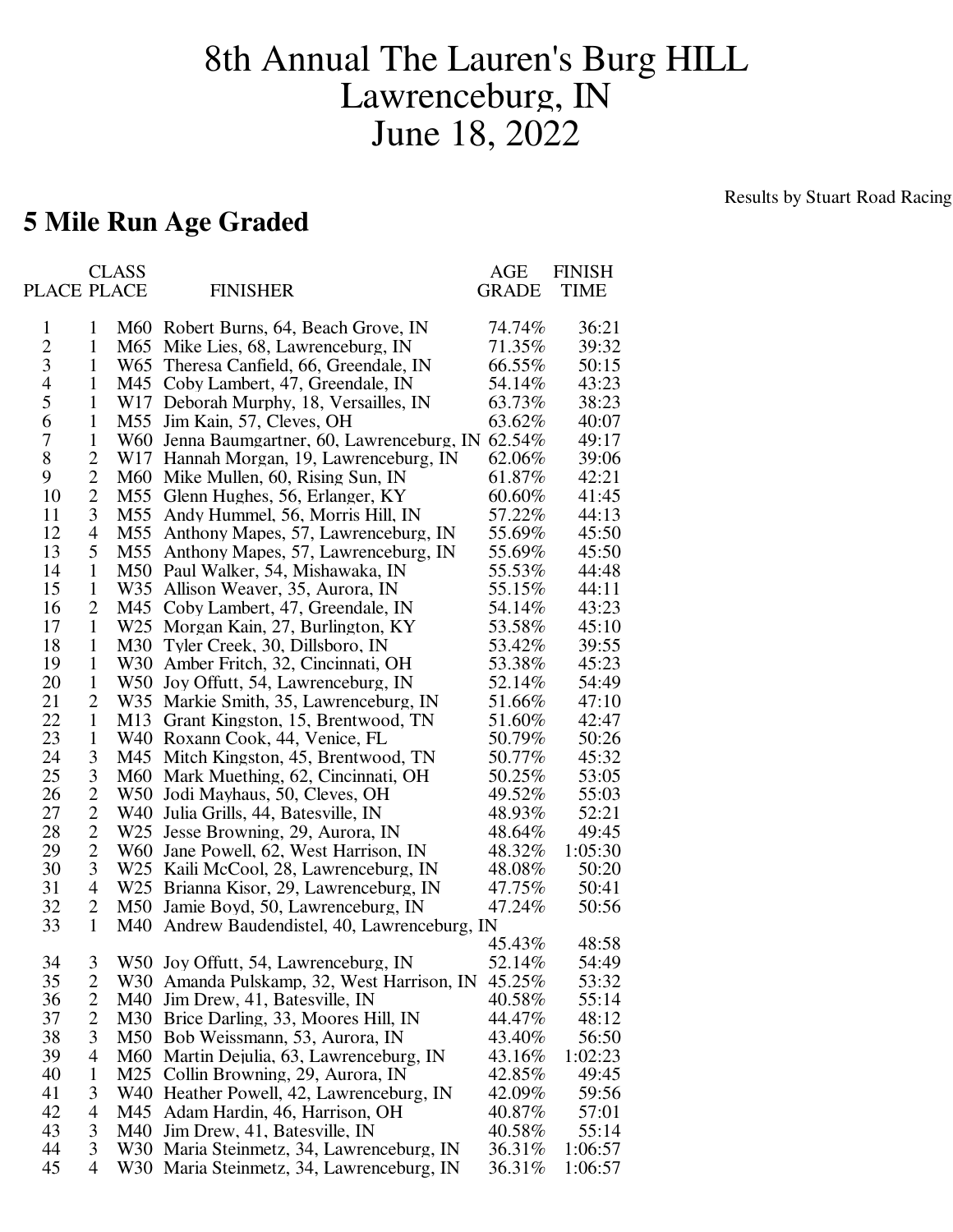## 8th Annual The Lauren's Burg HILL Lawrenceburg, IN June 18, 2022

## Results by Stuart Road Racing

## **5 Mile Run Age Graded**

| PLACE PLACE    |                          | <b>CLASS</b> | <b>FINISHER</b>                                    | AGE<br><b>GRADE</b> | <b>FINISH</b><br><b>TIME</b> |
|----------------|--------------------------|--------------|----------------------------------------------------|---------------------|------------------------------|
| 1              | 1                        |              | M60 Robert Burns, 64, Beach Grove, IN              | 74.74%              | 36:21                        |
| $\overline{c}$ | $\mathbf{1}$             |              | M65 Mike Lies, 68, Lawrenceburg, IN                | 71.35%              | 39:32                        |
| 3              | 1                        |              | W65 Theresa Canfield, 66, Greendale, IN            | 66.55%              | 50:15                        |
| 4              | $\mathbf{1}$             |              | M45 Coby Lambert, 47, Greendale, IN                | 54.14%              | 43:23                        |
| 5              | $\mathbf{1}$             |              | W17 Deborah Murphy, 18, Versailles, IN             | 63.73%              | 38:23                        |
| 6              | $\mathbf{1}$             |              | M55 Jim Kain, 57, Cleves, OH                       | 63.62%              | 40:07                        |
| 7              | $\mathbf{1}$             |              | W60 Jenna Baumgartner, 60, Lawrenceburg, IN 62.54% |                     | 49:17                        |
| 8              | $\overline{2}$           |              | W17 Hannah Morgan, 19, Lawrenceburg, IN            | 62.06%              | 39:06                        |
| 9              | $\overline{2}$           |              | M60 Mike Mullen, 60, Rising Sun, IN                | 61.87%              | 42:21                        |
| 10             | $\overline{2}$           |              | M55 Glenn Hughes, 56, Erlanger, KY                 | 60.60%              | 41:45                        |
| 11             | 3                        |              | M55 Andy Hummel, 56, Morris Hill, IN               | 57.22%              | 44:13                        |
| 12             | $\overline{\mathcal{A}}$ |              | M55 Anthony Mapes, 57, Lawrenceburg, IN            | 55.69%              | 45:50                        |
| 13             | 5                        |              | M55 Anthony Mapes, 57, Lawrenceburg, IN            | 55.69%              | 45:50                        |
| 14             | $\mathbf{1}$             |              | M50 Paul Walker, 54, Mishawaka, IN                 | 55.53%              | 44:48                        |
| 15             | $\mathbf{1}$             |              | W35 Allison Weaver, 35, Aurora, IN                 | 55.15%              | 44:11                        |
| 16             | $\overline{2}$           |              | M45 Coby Lambert, 47, Greendale, IN                | 54.14%              | 43:23                        |
| 17             | $\mathbf{1}$             |              | W25 Morgan Kain, 27, Burlington, KY                | 53.58%              | 45:10                        |
| 18             | $\mathbf{1}$             | M30          | Tyler Creek, 30, Dillsboro, IN                     | 53.42%              | 39:55                        |
| 19             | $\mathbf{1}$             |              | W30 Amber Fritch, 32, Cincinnati, OH               | 53.38%              | 45:23                        |
| 20             | $\mathbf{1}$             |              | W50 Joy Offutt, 54, Lawrenceburg, IN               | 52.14%              | 54:49                        |
| 21             | $\overline{2}$           |              | W35 Markie Smith, 35, Lawrenceburg, IN             | 51.66%              | 47:10                        |
| 22             | $\mathbf{1}$             |              | M13 Grant Kingston, 15, Brentwood, TN              | 51.60%              | 42:47                        |
| 23             | $\mathbf{1}$             |              | W40 Roxann Cook, 44, Venice, FL                    | 50.79%              | 50:26                        |
| 24             | 3                        |              | M45 Mitch Kingston, 45, Brentwood, TN              | 50.77%              | 45:32                        |
| 25             | 3                        |              | M60 Mark Muething, 62, Cincinnati, OH              | 50.25%              | 53:05                        |
| 26             | $\overline{2}$           |              | W50 Jodi Mayhaus, 50, Cleves, OH                   | 49.52%              | 55:03                        |
| 27             | $\overline{2}$           |              | W40 Julia Grills, 44, Batesville, IN               | 48.93%              | 52:21                        |
| 28             | $\overline{2}$           |              | W25 Jesse Browning, 29, Aurora, IN                 | 48.64%              | 49:45                        |
| 29             | $\overline{2}$           |              | W60 Jane Powell, 62, West Harrison, IN             | 48.32%              | 1:05:30                      |
| 30             | 3                        |              | W25 Kaili McCool, 28, Lawrenceburg, IN             | 48.08%              | 50:20                        |
| 31             | $\overline{4}$           |              | W25 Brianna Kisor, 29, Lawrenceburg, IN            | 47.75%              | 50:41                        |
| 32             | $\overline{2}$           |              | M50 Jamie Boyd, 50, Lawrenceburg, IN               | 47.24%              | 50:56                        |
| 33             | $\mathbf{1}$             | M40          | Andrew Baudendistel, 40, Lawrenceburg, IN          |                     |                              |
|                |                          |              |                                                    | 45.43%              | 48:58                        |
| 34             | 3                        |              | W50 Joy Offutt, 54, Lawrenceburg, IN               | 52.14%              | 54:49                        |
| 35             | 2                        |              | W30 Amanda Pulskamp, 32, West Harrison, IN         | 45.25%              | 53:32                        |
| 36             | $\overline{2}$           |              | M40 Jim Drew, 41, Batesville, IN                   | 40.58%              | 55:14                        |
| 37             | $\overline{2}$           |              | M30 Brice Darling, 33, Moores Hill, IN             | 44.47%              | 48:12                        |
| 38             | 3                        |              | M50 Bob Weissmann, 53, Aurora, IN                  | 43.40%              | 56:50                        |
| 39             | 4                        |              | M60 Martin Dejulia, 63, Lawrenceburg, IN           | 43.16%              | 1:02:23                      |
| 40             | $\mathbf{1}$             |              | M25 Collin Browning, 29, Aurora, IN                | 42.85%              | 49:45                        |
| 41             | 3                        |              | W40 Heather Powell, 42, Lawrenceburg, IN           | 42.09%              | 59:56                        |
| 42             | 4                        |              | M45 Adam Hardin, 46, Harrison, OH                  | 40.87%              | 57:01                        |
| 43             | 3                        |              | M40 Jim Drew, 41, Batesville, IN                   | 40.58%              | 55:14                        |
| 44             | 3                        |              | W30 Maria Steinmetz, 34, Lawrenceburg, IN          | 36.31%              | 1:06:57                      |
| 45             | $\overline{4}$           |              | W30 Maria Steinmetz, 34, Lawrenceburg, IN          | 36.31%              | 1:06:57                      |